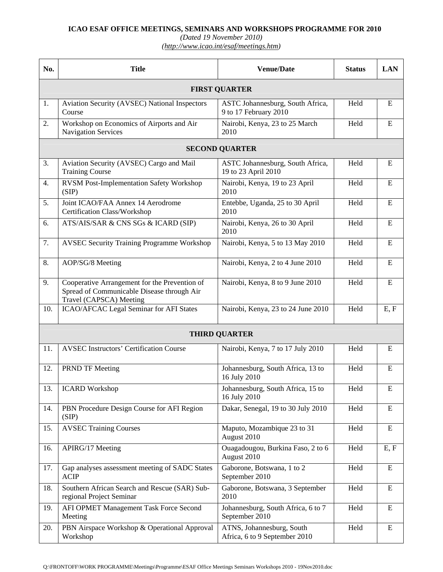## **ICAO ESAF OFFICE MEETINGS, SEMINARS AND WORKSHOPS PROGRAMME FOR 2010**

*(Dated 19 November 2010) (http://www.icao.int/esaf/meetings.htm)* 

| No.                  | <b>Title</b>                                                                                                           | <b>Venue/Date</b>                                          | <b>Status</b> | <b>LAN</b>  |  |  |  |  |  |
|----------------------|------------------------------------------------------------------------------------------------------------------------|------------------------------------------------------------|---------------|-------------|--|--|--|--|--|
| <b>FIRST QUARTER</b> |                                                                                                                        |                                                            |               |             |  |  |  |  |  |
| 1.                   | Aviation Security (AVSEC) National Inspectors<br>Course                                                                | ASTC Johannesburg, South Africa,<br>9 to 17 February 2010  | Held          | ${\bf E}$   |  |  |  |  |  |
| 2.                   | Workshop on Economics of Airports and Air<br>Navigation Services                                                       | Nairobi, Kenya, 23 to 25 March<br>2010                     | Held          | ${\bf E}$   |  |  |  |  |  |
|                      | <b>SECOND QUARTER</b>                                                                                                  |                                                            |               |             |  |  |  |  |  |
| 3.                   | Aviation Security (AVSEC) Cargo and Mail<br><b>Training Course</b>                                                     | ASTC Johannesburg, South Africa,<br>19 to 23 April 2010    | Held          | E           |  |  |  |  |  |
| 4.                   | <b>RVSM Post-Implementation Safety Workshop</b><br>(SIP)                                                               | Nairobi, Kenya, 19 to 23 April<br>2010                     | Held          | E           |  |  |  |  |  |
| 5.                   | Joint ICAO/FAA Annex 14 Aerodrome<br><b>Certification Class/Workshop</b>                                               | Entebbe, Uganda, 25 to 30 April<br>2010                    | Held          | E           |  |  |  |  |  |
| 6.                   | ATS/AIS/SAR & CNS SGs & ICARD (SIP)                                                                                    | Nairobi, Kenya, 26 to 30 April<br>2010                     | Held          | $\mathbf E$ |  |  |  |  |  |
| 7.                   | <b>AVSEC Security Training Programme Workshop</b>                                                                      | Nairobi, Kenya, 5 to 13 May 2010                           | Held          | E           |  |  |  |  |  |
| 8.                   | AOP/SG/8 Meeting                                                                                                       | Nairobi, Kenya, 2 to 4 June 2010                           | Held          | E           |  |  |  |  |  |
| 9.                   | Cooperative Arrangement for the Prevention of<br>Spread of Communicable Disease through Air<br>Travel (CAPSCA) Meeting | Nairobi, Kenya, 8 to 9 June 2010                           | Held          | ${\bf E}$   |  |  |  |  |  |
| 10.                  | ICAO/AFCAC Legal Seminar for AFI States                                                                                | Nairobi, Kenya, 23 to 24 June 2010                         | Held          | E, F        |  |  |  |  |  |
| <b>THIRD QUARTER</b> |                                                                                                                        |                                                            |               |             |  |  |  |  |  |
| 11.                  | <b>AVSEC Instructors' Certification Course</b>                                                                         | Nairobi, Kenya, 7 to 17 July 2010                          | Held          | E           |  |  |  |  |  |
| 12.                  | <b>PRND TF Meeting</b>                                                                                                 | Johannesburg, South Africa, 13 to<br>16 July 2010          | Held          | ${\bf E}$   |  |  |  |  |  |
| 13.                  | <b>ICARD Workshop</b>                                                                                                  | Johannesburg, South Africa, 15 to<br>16 July 2010          | Held          | Ε           |  |  |  |  |  |
| 14.                  | PBN Procedure Design Course for AFI Region<br>(SIP)                                                                    | Dakar, Senegal, 19 to 30 July 2010                         | Held          | ${\bf E}$   |  |  |  |  |  |
| 15.                  | <b>AVSEC Training Courses</b>                                                                                          | Maputo, Mozambique 23 to 31<br>August 2010                 | Held          | ${\bf E}$   |  |  |  |  |  |
| 16.                  | APIRG/17 Meeting                                                                                                       | Ouagadougou, Burkina Faso, 2 to 6<br>August 2010           | Held          | E, F        |  |  |  |  |  |
| 17.                  | Gap analyses assessment meeting of SADC States<br><b>ACIP</b>                                                          | Gaborone, Botswana, 1 to 2<br>September 2010               | Held          | ${\bf E}$   |  |  |  |  |  |
| 18.                  | Southern African Search and Rescue (SAR) Sub-<br>regional Project Seminar                                              | Gaborone, Botswana, 3 September<br>2010                    | Held          | $\bf E$     |  |  |  |  |  |
| 19.                  | AFI OPMET Management Task Force Second<br>Meeting                                                                      | Johannesburg, South Africa, 6 to 7<br>September 2010       | Held          | ${\bf E}$   |  |  |  |  |  |
| 20.                  | PBN Airspace Workshop & Operational Approval<br>Workshop                                                               | ATNS, Johannesburg, South<br>Africa, 6 to 9 September 2010 | Held          | ${\bf E}$   |  |  |  |  |  |